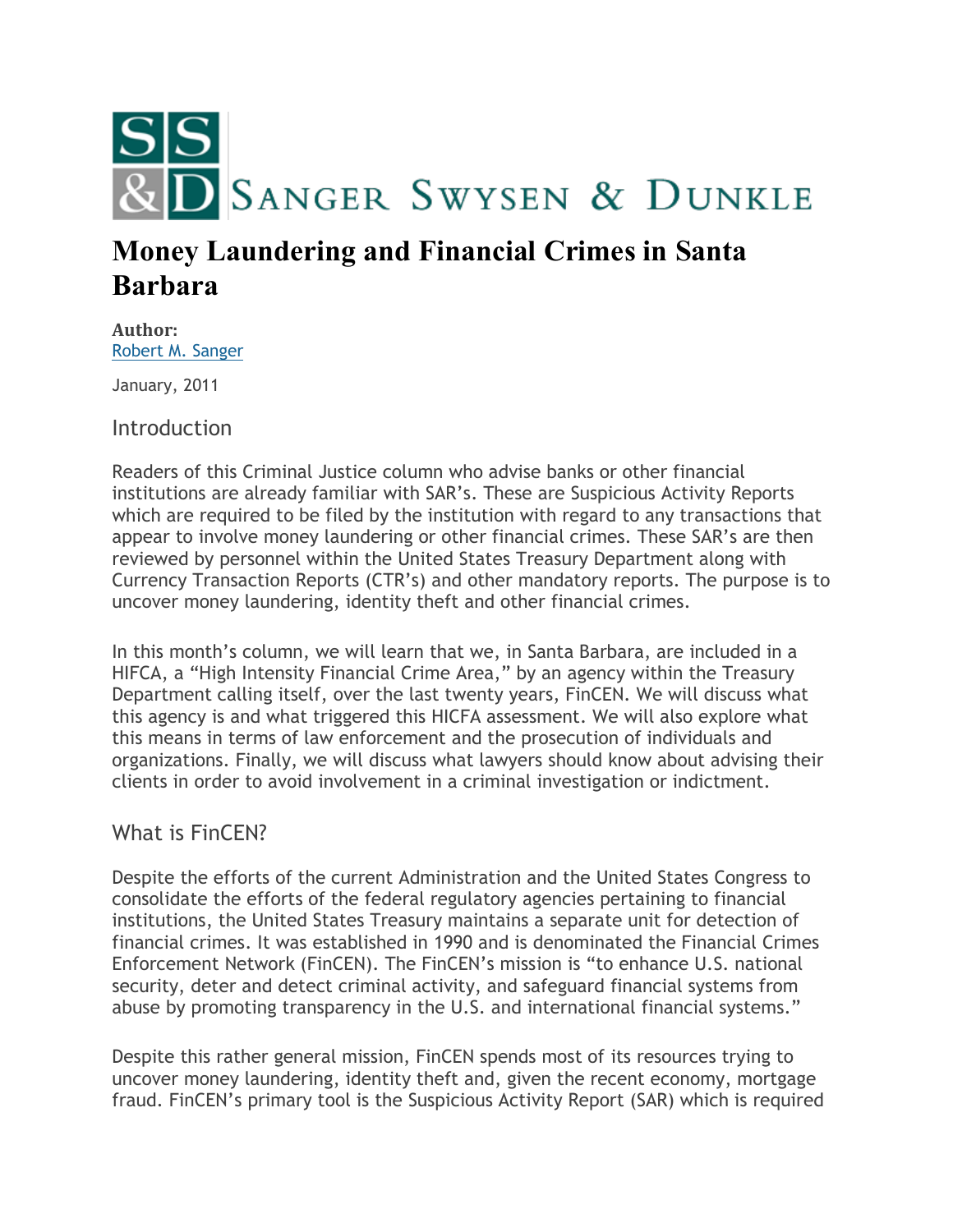

# **Money Laundering and Financial Crimes in Santa Barbara**

**Author:** [Robert M. Sanger](http://sangerswysen.com/robert-m-sanger)

January, 2011

**Introduction** 

Readers of this Criminal Justice column who advise banks or other financial institutions are already familiar with SAR's. These are Suspicious Activity Reports which are required to be filed by the institution with regard to any transactions that appear to involve money laundering or other financial crimes. These SAR's are then reviewed by personnel within the United States Treasury Department along with Currency Transaction Reports (CTR's) and other mandatory reports. The purpose is to uncover money laundering, identity theft and other financial crimes.

In this month's column, we will learn that we, in Santa Barbara, are included in a HIFCA, a "High Intensity Financial Crime Area," by an agency within the Treasury Department calling itself, over the last twenty years, FinCEN. We will discuss what this agency is and what triggered this HICFA assessment. We will also explore what this means in terms of law enforcement and the prosecution of individuals and organizations. Finally, we will discuss what lawyers should know about advising their clients in order to avoid involvement in a criminal investigation or indictment.

## What is FinCEN?

Despite the efforts of the current Administration and the United States Congress to consolidate the efforts of the federal regulatory agencies pertaining to financial institutions, the United States Treasury maintains a separate unit for detection of financial crimes. It was established in 1990 and is denominated the Financial Crimes Enforcement Network (FinCEN). The FinCEN's mission is "to enhance U.S. national security, deter and detect criminal activity, and safeguard financial systems from abuse by promoting transparency in the U.S. and international financial systems."

Despite this rather general mission, FinCEN spends most of its resources trying to uncover money laundering, identity theft and, given the recent economy, mortgage fraud. FinCEN's primary tool is the Suspicious Activity Report (SAR) which is required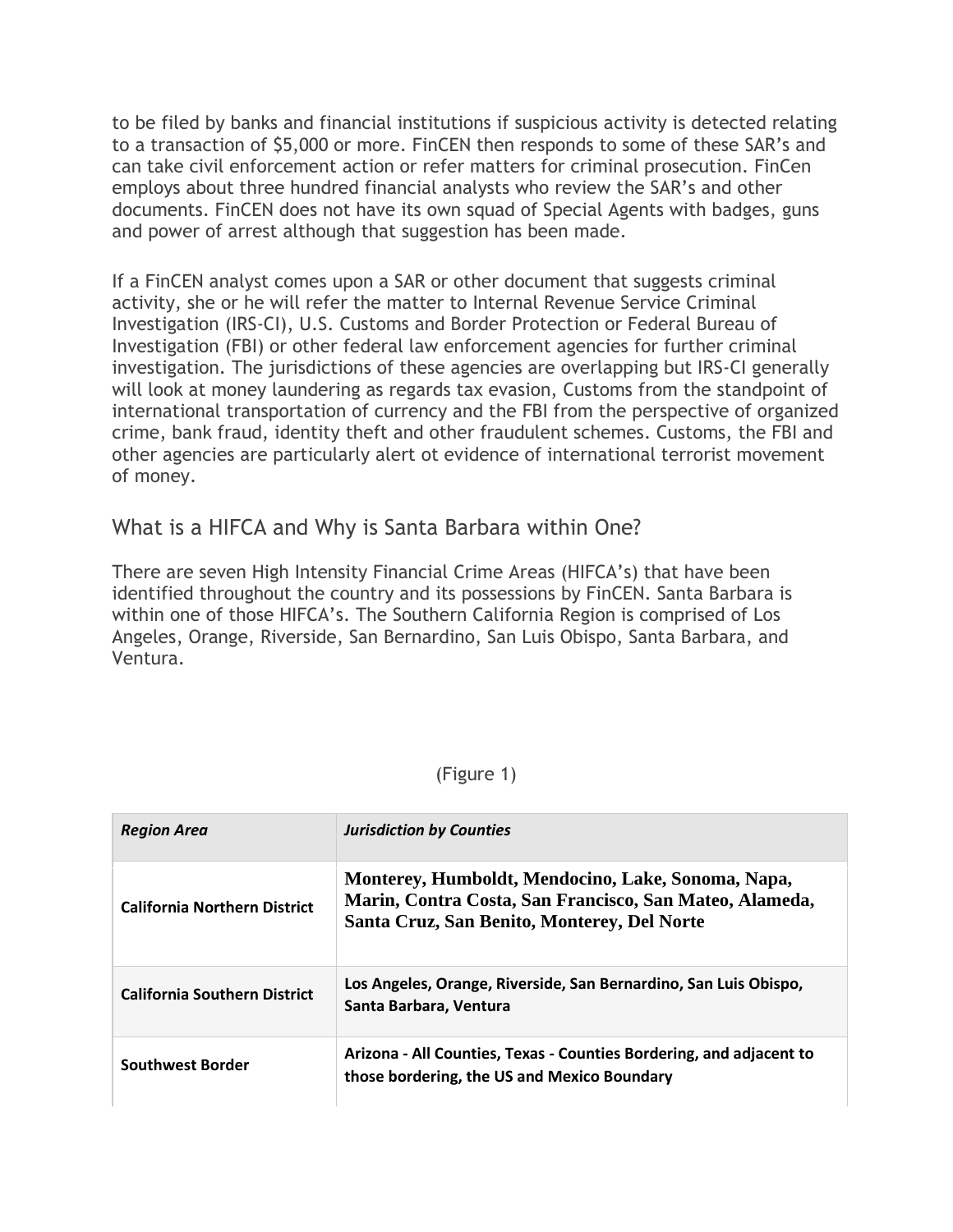to be filed by banks and financial institutions if suspicious activity is detected relating to a transaction of \$5,000 or more. FinCEN then responds to some of these SAR's and can take civil enforcement action or refer matters for criminal prosecution. FinCen employs about three hundred financial analysts who review the SAR's and other documents. FinCEN does not have its own squad of Special Agents with badges, guns and power of arrest although that suggestion has been made.

If a FinCEN analyst comes upon a SAR or other document that suggests criminal activity, she or he will refer the matter to Internal Revenue Service Criminal Investigation (IRS-CI), U.S. Customs and Border Protection or Federal Bureau of Investigation (FBI) or other federal law enforcement agencies for further criminal investigation. The jurisdictions of these agencies are overlapping but IRS-CI generally will look at money laundering as regards tax evasion, Customs from the standpoint of international transportation of currency and the FBI from the perspective of organized crime, bank fraud, identity theft and other fraudulent schemes. Customs, the FBI and other agencies are particularly alert ot evidence of international terrorist movement of money.

## What is a HIFCA and Why is Santa Barbara within One?

There are seven High Intensity Financial Crime Areas (HIFCA's) that have been identified throughout the country and its possessions by FinCEN. Santa Barbara is within one of those HIFCA's. The Southern California Region is comprised of Los Angeles, Orange, Riverside, San Bernardino, San Luis Obispo, Santa Barbara, and Ventura.

#### (Figure 1)

| <b>Region Area</b>                  | <b>Jurisdiction by Counties</b>                                                                                                                              |
|-------------------------------------|--------------------------------------------------------------------------------------------------------------------------------------------------------------|
| <b>California Northern District</b> | Monterey, Humboldt, Mendocino, Lake, Sonoma, Napa,<br>Marin, Contra Costa, San Francisco, San Mateo, Alameda,<br>Santa Cruz, San Benito, Monterey, Del Norte |
| <b>California Southern District</b> | Los Angeles, Orange, Riverside, San Bernardino, San Luis Obispo,<br>Santa Barbara, Ventura                                                                   |
| <b>Southwest Border</b>             | Arizona - All Counties, Texas - Counties Bordering, and adjacent to<br>those bordering, the US and Mexico Boundary                                           |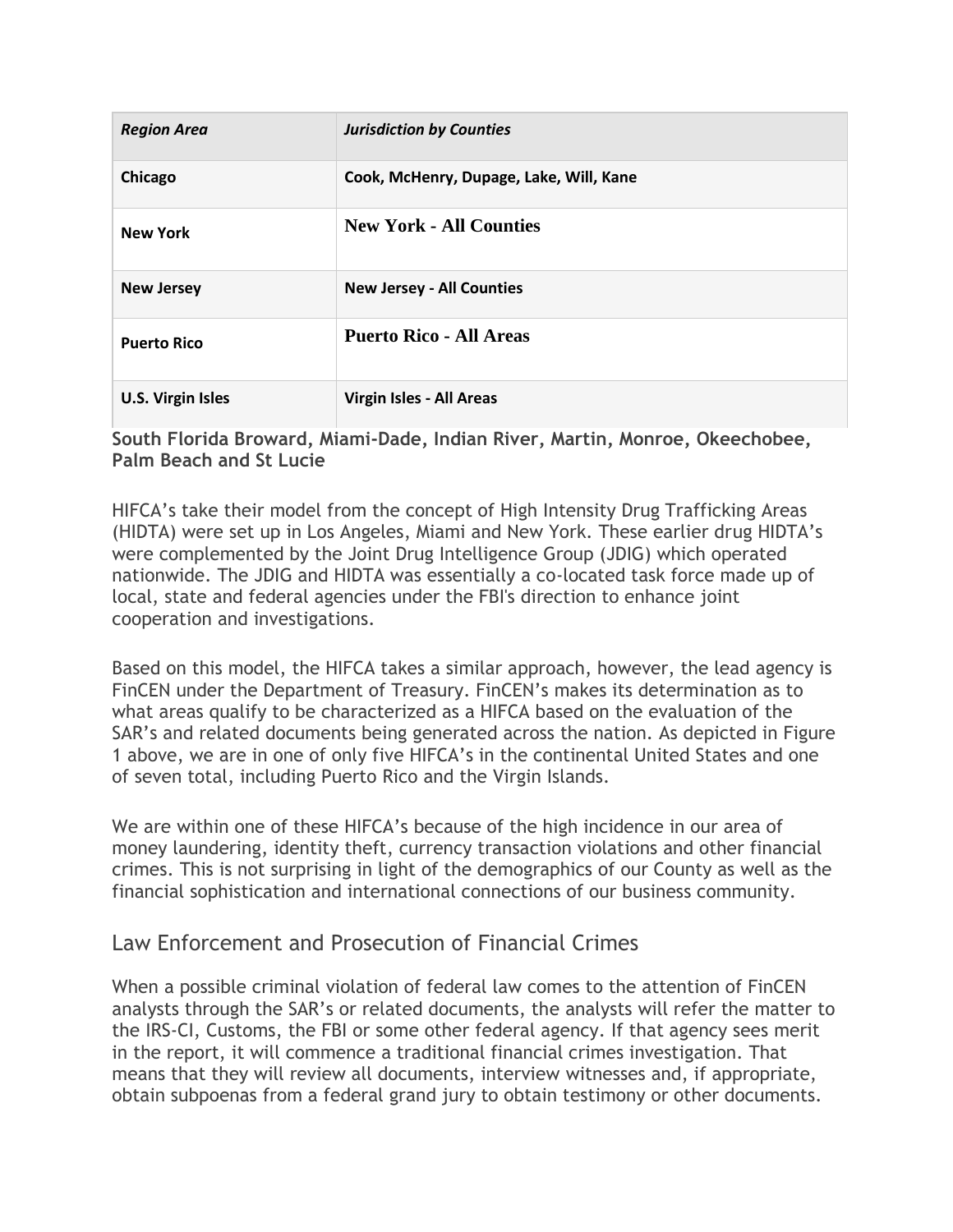| <b>Region Area</b>       | <b>Jurisdiction by Counties</b>         |
|--------------------------|-----------------------------------------|
| Chicago                  | Cook, McHenry, Dupage, Lake, Will, Kane |
| <b>New York</b>          | <b>New York - All Counties</b>          |
| <b>New Jersey</b>        | <b>New Jersey - All Counties</b>        |
| <b>Puerto Rico</b>       | <b>Puerto Rico - All Areas</b>          |
| <b>U.S. Virgin Isles</b> | Virgin Isles - All Areas                |

#### **South Florida Broward, Miami-Dade, Indian River, Martin, Monroe, Okeechobee, Palm Beach and St Lucie**

HIFCA's take their model from the concept of High Intensity Drug Trafficking Areas (HIDTA) were set up in Los Angeles, Miami and New York. These earlier drug HIDTA's were complemented by the Joint Drug Intelligence Group (JDIG) which operated nationwide. The JDIG and HIDTA was essentially a co-located task force made up of local, state and federal agencies under the FBI's direction to enhance joint cooperation and investigations.

Based on this model, the HIFCA takes a similar approach, however, the lead agency is FinCEN under the Department of Treasury. FinCEN's makes its determination as to what areas qualify to be characterized as a HIFCA based on the evaluation of the SAR's and related documents being generated across the nation. As depicted in Figure 1 above, we are in one of only five HIFCA's in the continental United States and one of seven total, including Puerto Rico and the Virgin Islands.

We are within one of these HIFCA's because of the high incidence in our area of money laundering, identity theft, currency transaction violations and other financial crimes. This is not surprising in light of the demographics of our County as well as the financial sophistication and international connections of our business community.

## Law Enforcement and Prosecution of Financial Crimes

When a possible criminal violation of federal law comes to the attention of FinCEN analysts through the SAR's or related documents, the analysts will refer the matter to the IRS-CI, Customs, the FBI or some other federal agency. If that agency sees merit in the report, it will commence a traditional financial crimes investigation. That means that they will review all documents, interview witnesses and, if appropriate, obtain subpoenas from a federal grand jury to obtain testimony or other documents.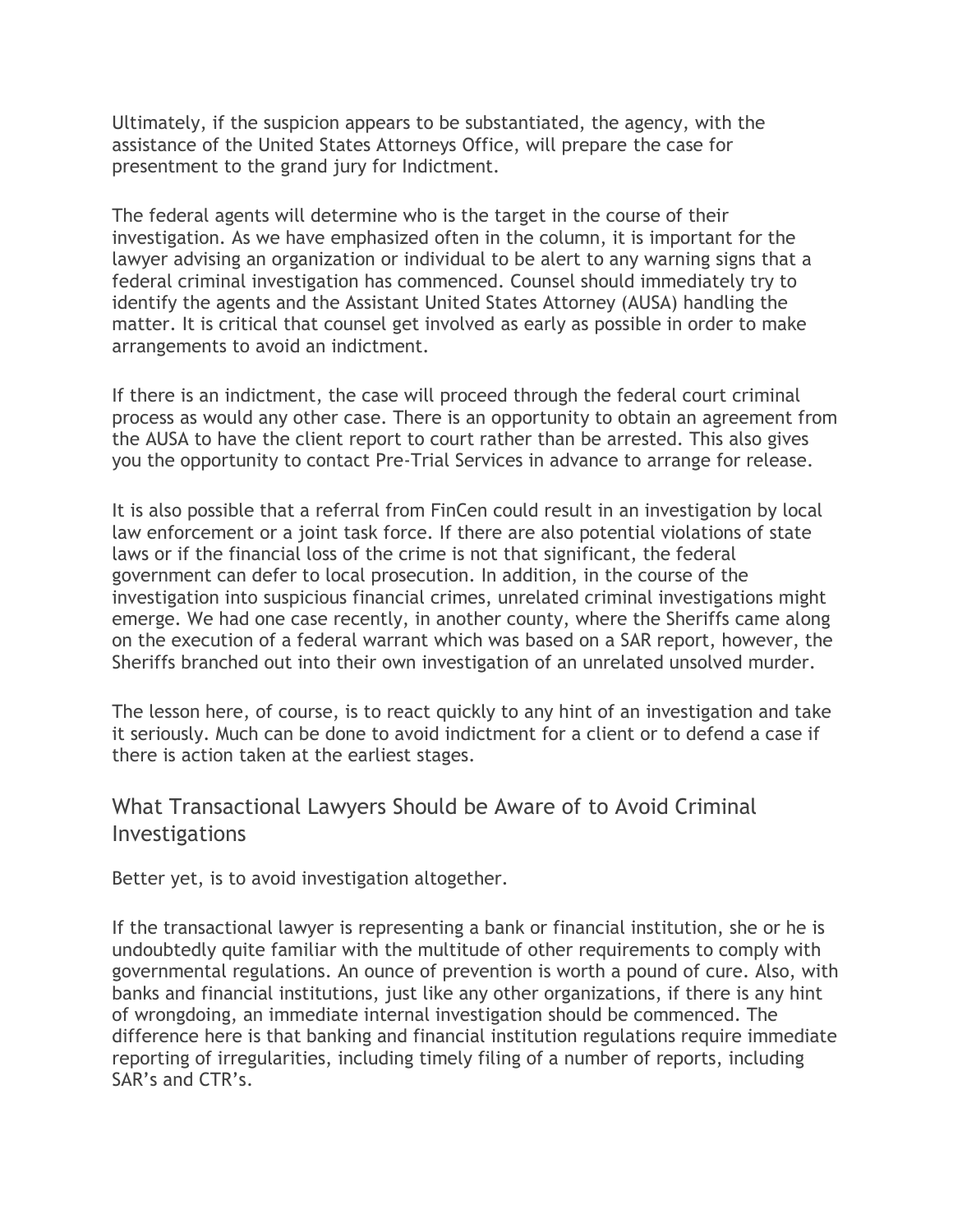Ultimately, if the suspicion appears to be substantiated, the agency, with the assistance of the United States Attorneys Office, will prepare the case for presentment to the grand jury for Indictment.

The federal agents will determine who is the target in the course of their investigation. As we have emphasized often in the column, it is important for the lawyer advising an organization or individual to be alert to any warning signs that a federal criminal investigation has commenced. Counsel should immediately try to identify the agents and the Assistant United States Attorney (AUSA) handling the matter. It is critical that counsel get involved as early as possible in order to make arrangements to avoid an indictment.

If there is an indictment, the case will proceed through the federal court criminal process as would any other case. There is an opportunity to obtain an agreement from the AUSA to have the client report to court rather than be arrested. This also gives you the opportunity to contact Pre-Trial Services in advance to arrange for release.

It is also possible that a referral from FinCen could result in an investigation by local law enforcement or a joint task force. If there are also potential violations of state laws or if the financial loss of the crime is not that significant, the federal government can defer to local prosecution. In addition, in the course of the investigation into suspicious financial crimes, unrelated criminal investigations might emerge. We had one case recently, in another county, where the Sheriffs came along on the execution of a federal warrant which was based on a SAR report, however, the Sheriffs branched out into their own investigation of an unrelated unsolved murder.

The lesson here, of course, is to react quickly to any hint of an investigation and take it seriously. Much can be done to avoid indictment for a client or to defend a case if there is action taken at the earliest stages.

## What Transactional Lawyers Should be Aware of to Avoid Criminal Investigations

Better yet, is to avoid investigation altogether.

If the transactional lawyer is representing a bank or financial institution, she or he is undoubtedly quite familiar with the multitude of other requirements to comply with governmental regulations. An ounce of prevention is worth a pound of cure. Also, with banks and financial institutions, just like any other organizations, if there is any hint of wrongdoing, an immediate internal investigation should be commenced. The difference here is that banking and financial institution regulations require immediate reporting of irregularities, including timely filing of a number of reports, including SAR's and CTR's.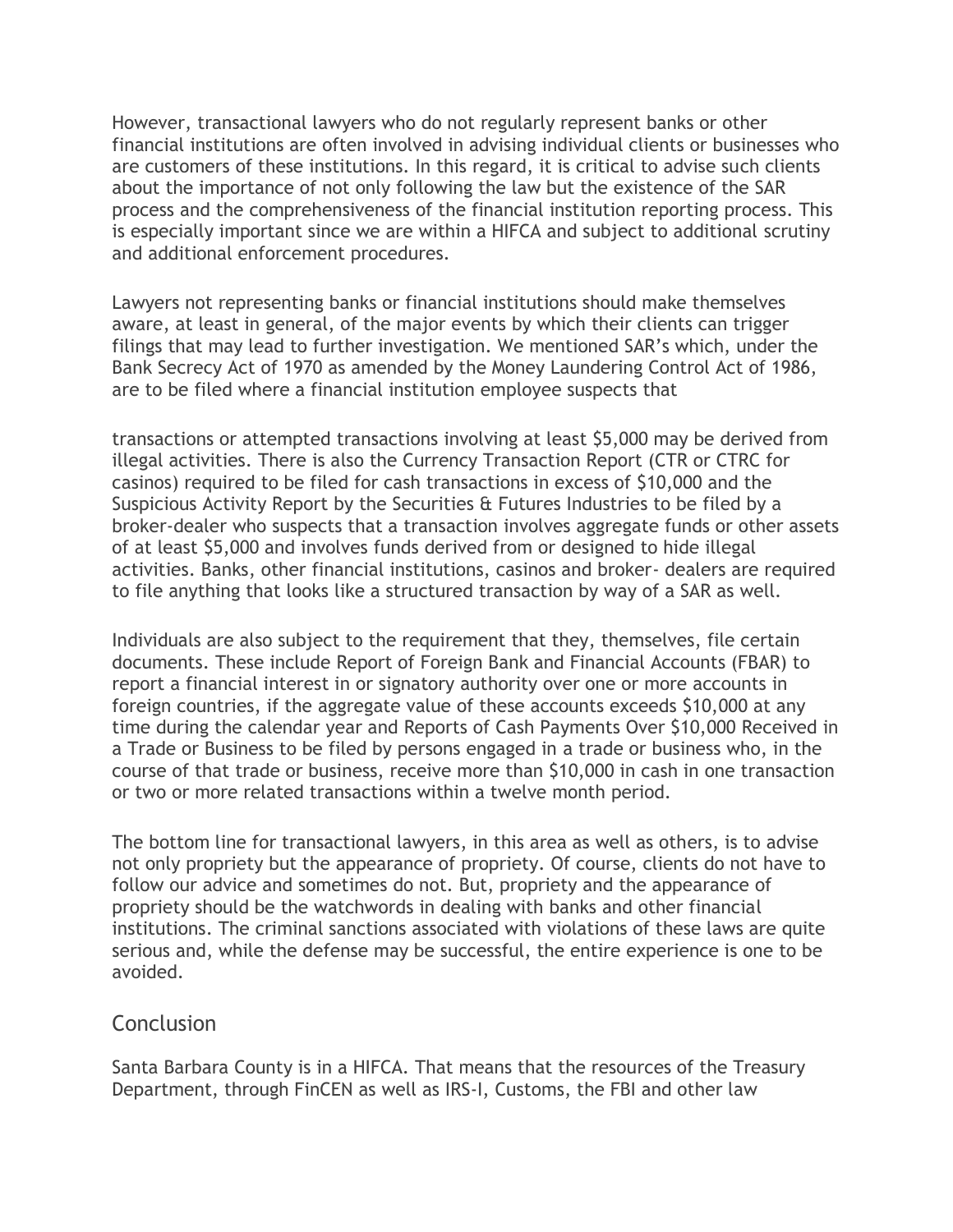However, transactional lawyers who do not regularly represent banks or other financial institutions are often involved in advising individual clients or businesses who are customers of these institutions. In this regard, it is critical to advise such clients about the importance of not only following the law but the existence of the SAR process and the comprehensiveness of the financial institution reporting process. This is especially important since we are within a HIFCA and subject to additional scrutiny and additional enforcement procedures.

Lawyers not representing banks or financial institutions should make themselves aware, at least in general, of the major events by which their clients can trigger filings that may lead to further investigation. We mentioned SAR's which, under the Bank Secrecy Act of 1970 as amended by the Money Laundering Control Act of 1986, are to be filed where a financial institution employee suspects that

transactions or attempted transactions involving at least \$5,000 may be derived from illegal activities. There is also the Currency Transaction Report (CTR or CTRC for casinos) required to be filed for cash transactions in excess of \$10,000 and the Suspicious Activity Report by the Securities & Futures Industries to be filed by a broker-dealer who suspects that a transaction involves aggregate funds or other assets of at least \$5,000 and involves funds derived from or designed to hide illegal activities. Banks, other financial institutions, casinos and broker- dealers are required to file anything that looks like a structured transaction by way of a SAR as well.

Individuals are also subject to the requirement that they, themselves, file certain documents. These include Report of Foreign Bank and Financial Accounts (FBAR) to report a financial interest in or signatory authority over one or more accounts in foreign countries, if the aggregate value of these accounts exceeds \$10,000 at any time during the calendar year and Reports of Cash Payments Over \$10,000 Received in a Trade or Business to be filed by persons engaged in a trade or business who, in the course of that trade or business, receive more than \$10,000 in cash in one transaction or two or more related transactions within a twelve month period.

The bottom line for transactional lawyers, in this area as well as others, is to advise not only propriety but the appearance of propriety. Of course, clients do not have to follow our advice and sometimes do not. But, propriety and the appearance of propriety should be the watchwords in dealing with banks and other financial institutions. The criminal sanctions associated with violations of these laws are quite serious and, while the defense may be successful, the entire experience is one to be avoided.

### **Conclusion**

Santa Barbara County is in a HIFCA. That means that the resources of the Treasury Department, through FinCEN as well as IRS-I, Customs, the FBI and other law